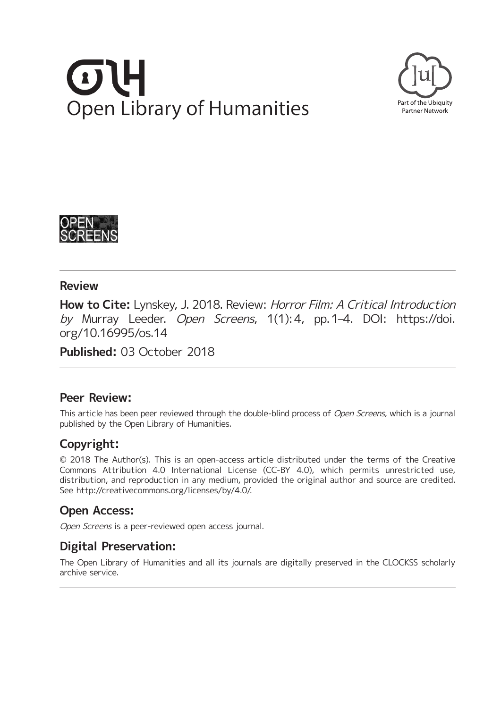# **Open Library of Humanities**





## **Review**

**How to Cite:** Lynskey, J. 2018. Review: Horror Film: A Critical Introduction by Murray Leeder. Open Screens, 1(1):4, pp.1-4. DOI: [https://doi.](https://doi.org/10.16995/os.14) [org/10.16995/os.14](https://doi.org/10.16995/os.14)

**Published:** 03 October 2018

# **Peer Review:**

This article has been peer reviewed through the double-blind process of Open Screens, which is a journal published by the Open Library of Humanities.

# **Copyright:**

© 2018 The Author(s). This is an open-access article distributed under the terms of the Creative Commons Attribution 4.0 International License (CC-BY 4.0), which permits unrestricted use, distribution, and reproduction in any medium, provided the original author and source are credited. See <http://creativecommons.org/licenses/by/4.0/>.

# **Open Access:**

Open Screens is a peer-reviewed open access journal.

# **Digital Preservation:**

The Open Library of Humanities and all its journals are digitally preserved in the CLOCKSS scholarly archive service.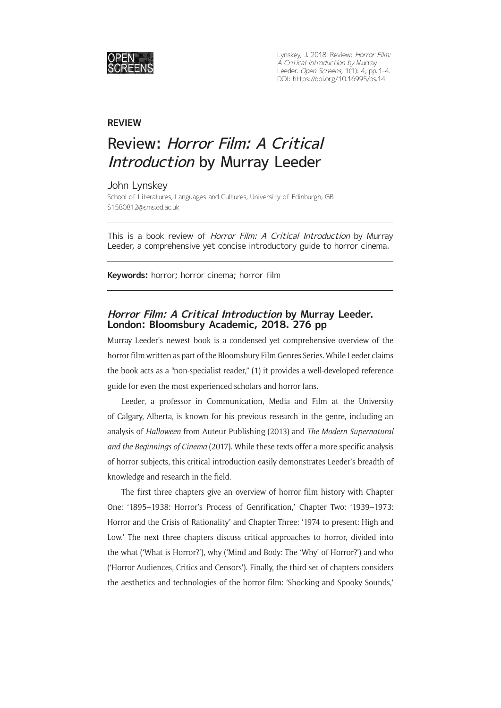

### **REVIEW**

# Review: Horror Film: A Critical Introduction by Murray Leeder

### John Lynskey

School of Literatures, Languages and Cultures, University of Edinburgh, GB [S1580812@sms.ed.ac.uk](mailto:S1580812@sms.ed.ac.uk)

This is a book review of Horror Film: A Critical Introduction by Murray Leeder, a comprehensive yet concise introductory guide to horror cinema.

**Keywords:** horror; horror cinema; horror film

### **Horror Film: A Critical Introduction by Murray Leeder. London: Bloomsbury Academic, 2018. 276 pp**

Murray Leeder's newest book is a condensed yet comprehensive overview of the horror film written as part of the Bloomsbury Film Genres Series. While Leeder claims the book acts as a "non-specialist reader," (1) it provides a well-developed reference guide for even the most experienced scholars and horror fans.

Leeder, a professor in Communication, Media and Film at the University of Calgary, Alberta, is known for his previous research in the genre, including an analysis of *Halloween* from Auteur Publishing (2013) and *The Modern Supernatural and the Beginnings of Cinema* (2017). While these texts offer a more specific analysis of horror subjects, this critical introduction easily demonstrates Leeder's breadth of knowledge and research in the field.

The first three chapters give an overview of horror film history with Chapter One: '1895–1938: Horror's Process of Genrification,' Chapter Two: '1939–1973: Horror and the Crisis of Rationality' and Chapter Three: '1974 to present: High and Low.' The next three chapters discuss critical approaches to horror, divided into the what ('What is Horror?'), why ('Mind and Body: The 'Why' of Horror?') and who ('Horror Audiences, Critics and Censors'). Finally, the third set of chapters considers the aesthetics and technologies of the horror film: 'Shocking and Spooky Sounds,'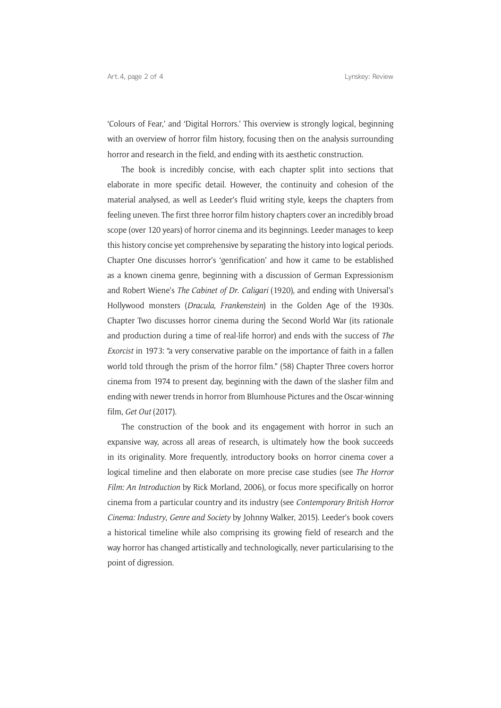'Colours of Fear,' and 'Digital Horrors.' This overview is strongly logical, beginning with an overview of horror film history, focusing then on the analysis surrounding horror and research in the field, and ending with its aesthetic construction.

The book is incredibly concise, with each chapter split into sections that elaborate in more specific detail. However, the continuity and cohesion of the material analysed, as well as Leeder's fluid writing style, keeps the chapters from feeling uneven. The first three horror film history chapters cover an incredibly broad scope (over 120 years) of horror cinema and its beginnings. Leeder manages to keep this history concise yet comprehensive by separating the history into logical periods. Chapter One discusses horror's 'genrification' and how it came to be established as a known cinema genre, beginning with a discussion of German Expressionism and Robert Wiene's *The Cabinet of Dr*. *Caligari* (1920), and ending with Universal's Hollywood monsters (*Dracula*, *Frankenstein*) in the Golden Age of the 1930s. Chapter Two discusses horror cinema during the Second World War (its rationale and production during a time of real-life horror) and ends with the success of *The Exorcist* in 1973: "a very conservative parable on the importance of faith in a fallen world told through the prism of the horror film." (58) Chapter Three covers horror cinema from 1974 to present day, beginning with the dawn of the slasher film and ending with newer trends in horror from Blumhouse Pictures and the Oscar-winning film, *Get Out* (2017).

The construction of the book and its engagement with horror in such an expansive way, across all areas of research, is ultimately how the book succeeds in its originality. More frequently, introductory books on horror cinema cover a logical timeline and then elaborate on more precise case studies (see *The Horror Film: An Introduction* by Rick Morland, 2006), or focus more specifically on horror cinema from a particular country and its industry (see *Contemporary British Horror Cinema: Industry*, *Genre and Society* by Johnny Walker, 2015). Leeder's book covers a historical timeline while also comprising its growing field of research and the way horror has changed artistically and technologically, never particularising to the point of digression.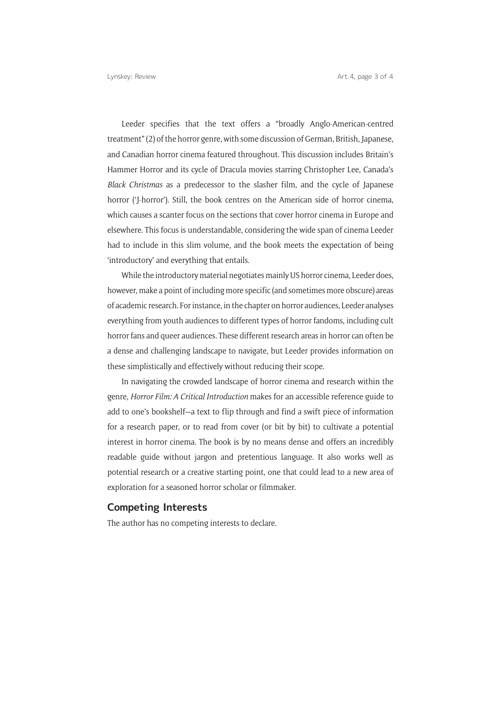Leeder specifies that the text offers a "broadly Anglo-American-centred treatment" (2) of the horror genre, with some discussion of German, British, Japanese, and Canadian horror cinema featured throughout. This discussion includes Britain's Hammer Horror and its cycle of Dracula movies starring Christopher Lee, Canada's *Black Christmas* as a predecessor to the slasher film, and the cycle of Japanese horror ('I-horror'). Still, the book centres on the American side of horror cinema, which causes a scanter focus on the sections that cover horror cinema in Europe and elsewhere. This focus is understandable, considering the wide span of cinema Leeder had to include in this slim volume, and the book meets the expectation of being 'introductory' and everything that entails.

While the introductory material negotiates mainly US horror cinema, Leeder does, however, make a point of including more specific (and sometimes more obscure) areas of academic research. For instance, in the chapter on horror audiences, Leeder analyses everything from youth audiences to different types of horror fandoms, including cult horror fans and queer audiences. These different research areas in horror can often be a dense and challenging landscape to navigate, but Leeder provides information on these simplistically and effectively without reducing their scope.

In navigating the crowded landscape of horror cinema and research within the genre, *Horror Film: A Critical Introduction* makes for an accessible reference guide to add to one's bookshelf—a text to flip through and find a swift piece of information for a research paper, or to read from cover (or bit by bit) to cultivate a potential interest in horror cinema. The book is by no means dense and offers an incredibly readable guide without jargon and pretentious language. It also works well as potential research or a creative starting point, one that could lead to a new area of exploration for a seasoned horror scholar or filmmaker.

### **Competing Interests**

The author has no competing interests to declare.